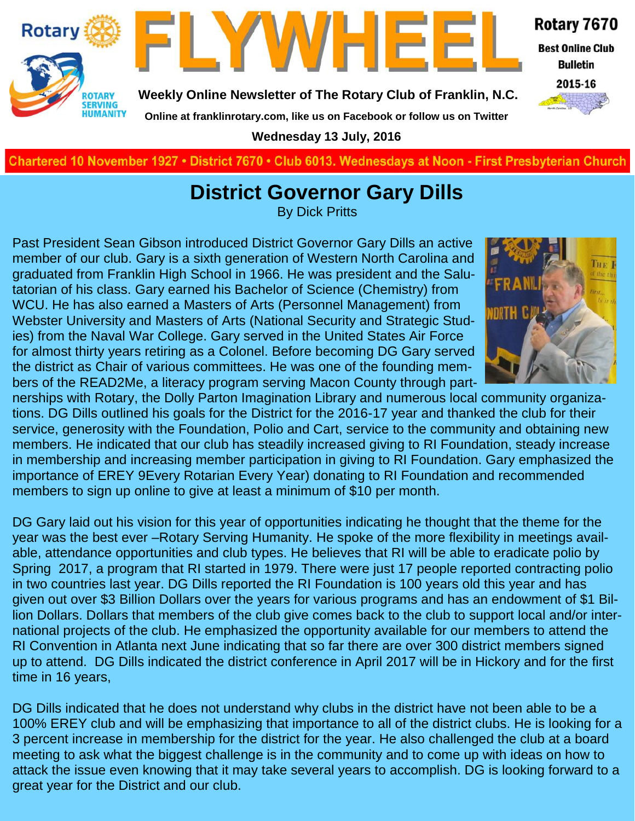



**Weekly Online Newsletter of The Rotary Club of Franklin, N.C.**

Rotary 7670

**Best Online Club Bulletin** 

2015-16

**Online at franklinrotary.com, like us on Facebook or follow us on Twitter Wednesday 13 July, 2016**

**Charted November 29, 1927 • District 7670 • Club 6013 Wednesdays at Noon - First Presbyterian Church**

### **District Governor Gary Dills**

By Dick Pritts

Past President Sean Gibson introduced District Governor Gary Dills an active member of our club. Gary is a sixth generation of Western North Carolina and graduated from Franklin High School in 1966. He was president and the Salutatorian of his class. Gary earned his Bachelor of Science (Chemistry) from WCU. He has also earned a Masters of Arts (Personnel Management) from Webster University and Masters of Arts (National Security and Strategic Studies) from the Naval War College. Gary served in the United States Air Force for almost thirty years retiring as a Colonel. Before becoming DG Gary served the district as Chair of various committees. He was one of the founding members of the READ2Me, a literacy program serving Macon County through part-



nerships with Rotary, the Dolly Parton Imagination Library and numerous local community organizations. DG Dills outlined his goals for the District for the 2016-17 year and thanked the club for their service, generosity with the Foundation, Polio and Cart, service to the community and obtaining new members. He indicated that our club has steadily increased giving to RI Foundation, steady increase in membership and increasing member participation in giving to RI Foundation. Gary emphasized the importance of EREY 9Every Rotarian Every Year) donating to RI Foundation and recommended members to sign up online to give at least a minimum of \$10 per month.

DG Gary laid out his vision for this year of opportunities indicating he thought that the theme for the year was the best ever –Rotary Serving Humanity. He spoke of the more flexibility in meetings available, attendance opportunities and club types. He believes that RI will be able to eradicate polio by Spring 2017, a program that RI started in 1979. There were just 17 people reported contracting polio in two countries last year. DG Dills reported the RI Foundation is 100 years old this year and has given out over \$3 Billion Dollars over the years for various programs and has an endowment of \$1 Billion Dollars. Dollars that members of the club give comes back to the club to support local and/or international projects of the club. He emphasized the opportunity available for our members to attend the RI Convention in Atlanta next June indicating that so far there are over 300 district members signed up to attend. DG Dills indicated the district conference in April 2017 will be in Hickory and for the first time in 16 years,

DG Dills indicated that he does not understand why clubs in the district have not been able to be a 100% EREY club and will be emphasizing that importance to all of the district clubs. He is looking for a 3 percent increase in membership for the district for the year. He also challenged the club at a board meeting to ask what the biggest challenge is in the community and to come up with ideas on how to attack the issue even knowing that it may take several years to accomplish. DG is looking forward to a great year for the District and our club.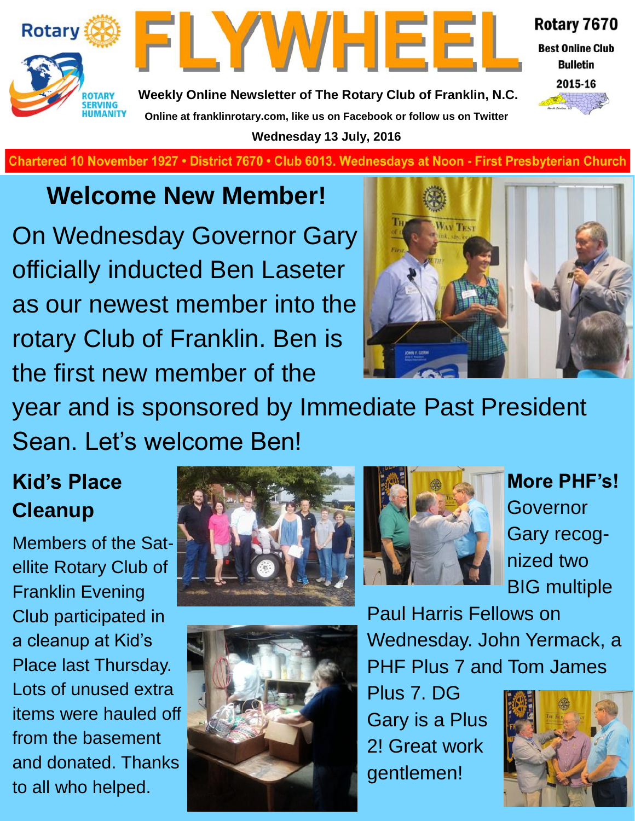



Rotary 7670

**Best Online Club Bulletin** 



**Weekly Online Newsletter of The Rotary Club of Franklin, N.C. Online at franklinrotary.com, like us on Facebook or follow us on Twitter Wednesday 13 July, 2016**

Chartered 10 November 1927 • District 7670 • Club 6013. Wednesdays at Noon - First Presbyterian Church

## **Welcome New Member!**

On Wednesday Governor Gary officially inducted Ben Laseter as our newest member into the rotary Club of Franklin. Ben is the first new member of the



year and is sponsored by Immediate Past President Sean. Let's welcome Ben!

## **Kid's Place Cleanup**

Members of the Satellite Rotary Club of Franklin Evening Club participated in a cleanup at Kid's Place last Thursday. Lots of unused extra items were hauled off from the basement and donated. Thanks to all who helped.







**More PHF's!**  Governor Gary recognized two BIG multiple

Paul Harris Fellows on Wednesday. John Yermack, a PHF Plus 7 and Tom James

Plus 7. DG Gary is a Plus 2! Great work gentlemen!

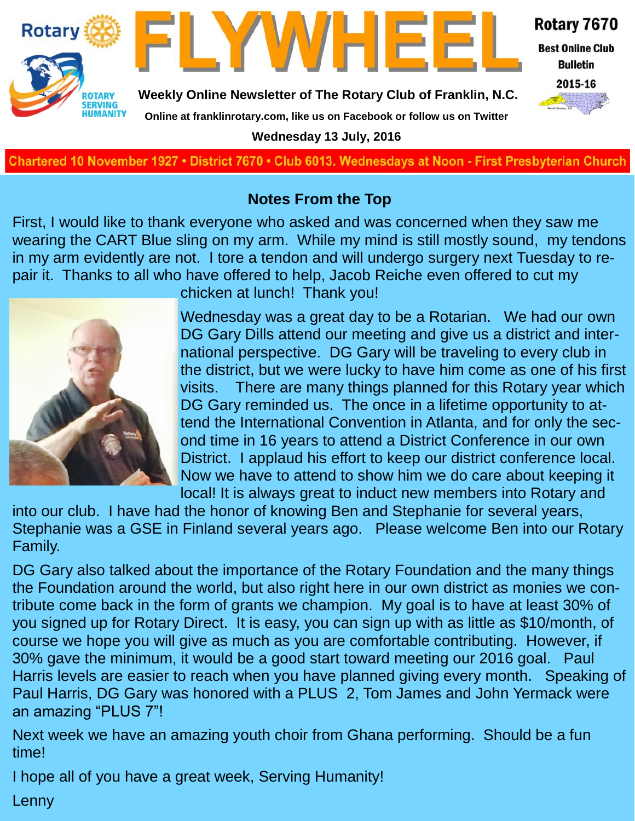

#### **Notes From the Top**

First, I would like to thank everyone who asked and was concerned when they saw me wearing the CART Blue sling on my arm. While my mind is still mostly sound, my tendons in my arm evidently are not. I tore a tendon and will undergo surgery next Tuesday to repair it. Thanks to all who have offered to help, Jacob Reiche even offered to cut my



chicken at lunch! Thank you!

Wednesday was a great day to be a Rotarian. We had our own DG Gary Dills attend our meeting and give us a district and international perspective. DG Gary will be traveling to every club in the district, but we were lucky to have him come as one of his first visits. There are many things planned for this Rotary year which DG Gary reminded us. The once in a lifetime opportunity to attend the International Convention in Atlanta, and for only the second time in 16 years to attend a District Conference in our own District. I applaud his effort to keep our district conference local. Now we have to attend to show him we do care about keeping it local! It is always great to induct new members into Rotary and

into our club. I have had the honor of knowing Ben and Stephanie for several years, Stephanie was a GSE in Finland several years ago. Please welcome Ben into our Rotary Family.

DG Gary also talked about the importance of the Rotary Foundation and the many things the Foundation around the world, but also right here in our own district as monies we contribute come back in the form of grants we champion. My goal is to have at least 30% of you signed up for Rotary Direct. It is easy, you can sign up with as little as \$10/month, of course we hope you will give as much as you are comfortable contributing. However, if 30% gave the minimum, it would be a good start toward meeting our 2016 goal. Paul Harris levels are easier to reach when you have planned giving every month. Speaking of Paul Harris, DG Gary was honored with a PLUS 2, Tom James and John Yermack were an amazing "PLUS 7"!

Next week we have an amazing youth choir from Ghana performing. Should be a fun time!

I hope all of you have a great week, Serving Humanity!

Lenny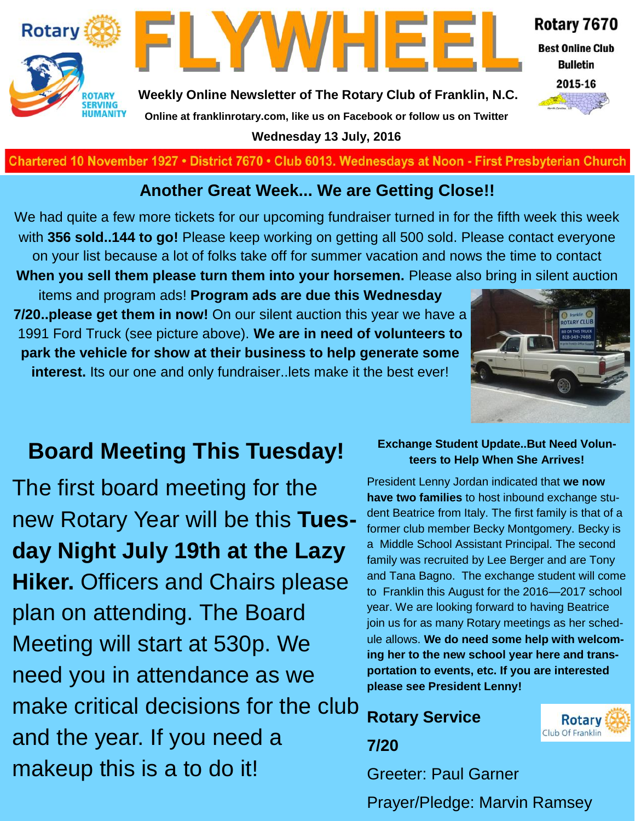



Rotary 7670

**Best Online Club Bulletin** 

2015-16

**Weekly Online Newsletter of The Rotary Club of Franklin, N.C. Online at franklinrotary.com, like us on Facebook or follow us on Twitter**

**Wednesday 13 July, 2016**

**Charted November 29, 1927 • District 7670 • Club 6013 Wednesdays at Noon - First Presbyterian Church**

#### **Another Great Week... We are Getting Close!!**

We had quite a few more tickets for our upcoming fundraiser turned in for the fifth week this week with **356 sold..144 to go!** Please keep working on getting all 500 sold. Please contact everyone on your list because a lot of folks take off for summer vacation and nows the time to contact **When you sell them please turn them into your horsemen.** Please also bring in silent auction

items and program ads! **Program ads are due this Wednesday 7/20..please get them in now!** On our silent auction this year we have a 1991 Ford Truck (see picture above). **We are in need of volunteers to park the vehicle for show at their business to help generate some interest.** Its our one and only fundraiser..lets make it the best ever!



### **Board Meeting This Tuesday!**

The first board meeting for the new Rotary Year will be this **Tuesday Night July 19th at the Lazy Hiker.** Officers and Chairs please plan on attending. The Board Meeting will start at 530p. We need you in attendance as we make critical decisions for the club and the year. If you need a makeup this is a to do it!

#### **Exchange Student Update..But Need Volunteers to Help When She Arrives!**

President Lenny Jordan indicated that **we now have two families** to host inbound exchange student Beatrice from Italy. The first family is that of a former club member Becky Montgomery. Becky is a Middle School Assistant Principal. The second family was recruited by Lee Berger and are Tony and Tana Bagno. The exchange student will come to Franklin this August for the 2016—2017 school year. We are looking forward to having Beatrice join us for as many Rotary meetings as her schedule allows. **We do need some help with welcoming her to the new school year here and transportation to events, etc. If you are interested please see President Lenny!** 

**Rotary Service** 



**7/20** Greeter: Paul Garner

Prayer/Pledge: Marvin Ramsey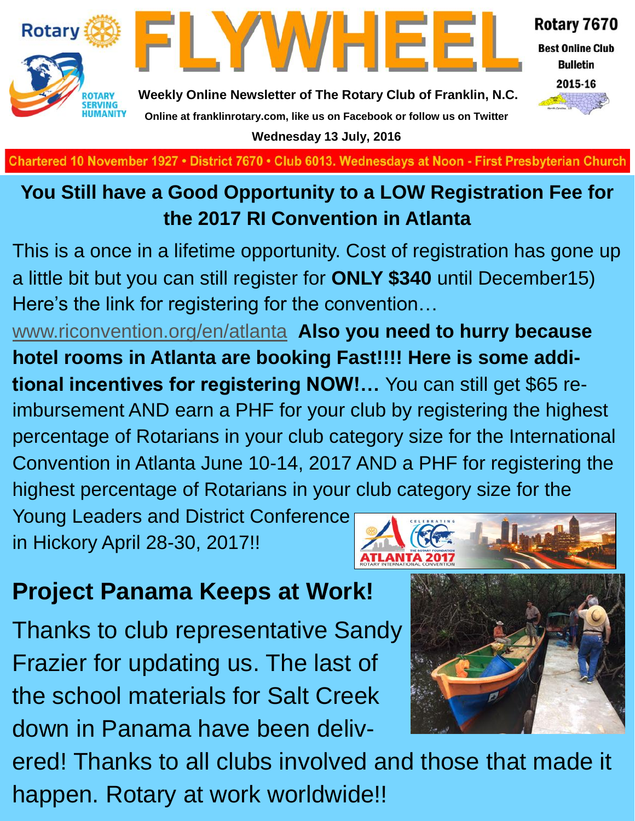

**Wednesday 13 July, 2016**

**Charted November 29, 1927 • District 7670 • Club 6013 Wednesdays at Noon - First Presbyterian Church**

### **You Still have a Good Opportunity to a LOW Registration Fee for the 2017 RI Convention in Atlanta**

This is a once in a lifetime opportunity. Cost of registration has gone up a little bit but you can still register for **ONLY \$340** until December15) Here's the link for registering for the convention…

[www.riconvention.org/en/atlanta](http://www.riconvention.org/en/atlanta) **Also you need to hurry because hotel rooms in Atlanta are booking Fast!!!! Here is some additional incentives for registering NOW!…** You can still get \$65 reimbursement AND earn a PHF for your club by registering the highest percentage of Rotarians in your club category size for the International Convention in Atlanta June 10-14, 2017 AND a PHF for registering the highest percentage of Rotarians in your club category size for the

Young Leaders and District Conference in Hickory April 28-30, 2017!!



## **Project Panama Keeps at Work!**

Thanks to club representative Sandy Frazier for updating us. The last of the school materials for Salt Creek down in Panama have been deliv-



ered! Thanks to all clubs involved and those that made it happen. Rotary at work worldwide!!